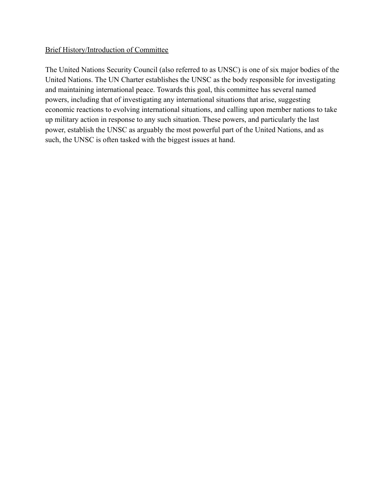## Brief History/Introduction of Committee

The United Nations Security Council (also referred to as UNSC) is one of six major bodies of the United Nations. The UN Charter establishes the UNSC as the body responsible for investigating and maintaining international peace. Towards this goal, this committee has several named powers, including that of investigating any international situations that arise, suggesting economic reactions to evolving international situations, and calling upon member nations to take up military action in response to any such situation. These powers, and particularly the last power, establish the UNSC as arguably the most powerful part of the United Nations, and as such, the UNSC is often tasked with the biggest issues at hand.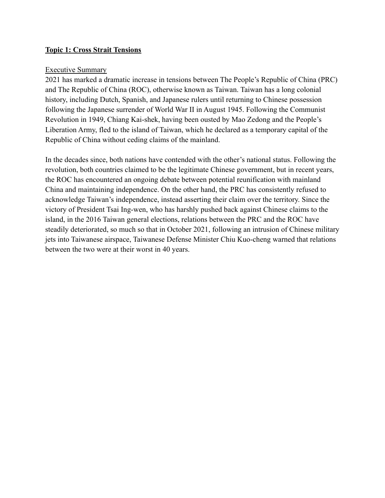## **Topic 1: Cross Strait Tensions**

#### Executive Summary

2021 has marked a dramatic increase in tensions between The People's Republic of China (PRC) and The Republic of China (ROC), otherwise known as Taiwan. Taiwan has a long colonial history, including Dutch, Spanish, and Japanese rulers until returning to Chinese possession following the Japanese surrender of World War II in August 1945. Following the Communist Revolution in 1949, Chiang Kai-shek, having been ousted by Mao Zedong and the People's Liberation Army, fled to the island of Taiwan, which he declared as a temporary capital of the Republic of China without ceding claims of the mainland.

In the decades since, both nations have contended with the other's national status. Following the revolution, both countries claimed to be the legitimate Chinese government, but in recent years, the ROC has encountered an ongoing debate between potential reunification with mainland China and maintaining independence. On the other hand, the PRC has consistently refused to acknowledge Taiwan's independence, instead asserting their claim over the territory. Since the victory of President Tsai Ing-wen, who has harshly pushed back against Chinese claims to the island, in the 2016 Taiwan general elections, relations between the PRC and the ROC have steadily deteriorated, so much so that in October 2021, following an intrusion of Chinese military jets into Taiwanese airspace, Taiwanese Defense Minister Chiu Kuo-cheng warned that relations between the two were at their worst in 40 years.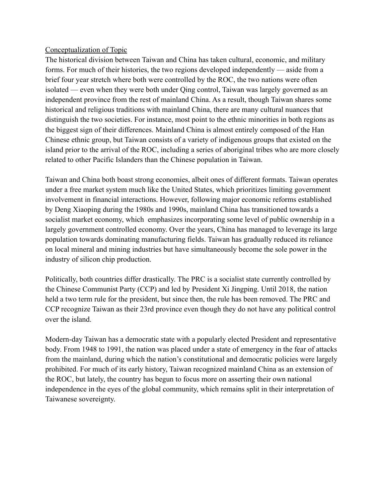# Conceptualization of Topic

The historical division between Taiwan and China has taken cultural, economic, and military forms. For much of their histories, the two regions developed independently — aside from a brief four year stretch where both were controlled by the ROC, the two nations were often isolated — even when they were both under Qing control, Taiwan was largely governed as an independent province from the rest of mainland China. As a result, though Taiwan shares some historical and religious traditions with mainland China, there are many cultural nuances that distinguish the two societies. For instance, most point to the ethnic minorities in both regions as the biggest sign of their differences. Mainland China is almost entirely composed of the Han Chinese ethnic group, but Taiwan consists of a variety of indigenous groups that existed on the island prior to the arrival of the ROC, including a series of aboriginal tribes who are more closely related to other Pacific Islanders than the Chinese population in Taiwan.

Taiwan and China both boast strong economies, albeit ones of different formats. Taiwan operates under a free market system much like the United States, which prioritizes limiting government involvement in financial interactions. However, following major economic reforms established by Deng Xiaoping during the 1980s and 1990s, mainland China has transitioned towards a socialist market economy, which emphasizes incorporating some level of public ownership in a largely government controlled economy. Over the years, China has managed to leverage its large population towards dominating manufacturing fields. Taiwan has gradually reduced its reliance on local mineral and mining industries but have simultaneously become the sole power in the industry of silicon chip production.

Politically, both countries differ drastically. The PRC is a socialist state currently controlled by the Chinese Communist Party (CCP) and led by President Xi Jingping. Until 2018, the nation held a two term rule for the president, but since then, the rule has been removed. The PRC and CCP recognize Taiwan as their 23rd province even though they do not have any political control over the island.

Modern-day Taiwan has a democratic state with a popularly elected President and representative body. From 1948 to 1991, the nation was placed under a state of emergency in the fear of attacks from the mainland, during which the nation's constitutional and democratic policies were largely prohibited. For much of its early history, Taiwan recognized mainland China as an extension of the ROC, but lately, the country has begun to focus more on asserting their own national independence in the eyes of the global community, which remains split in their interpretation of Taiwanese sovereignty.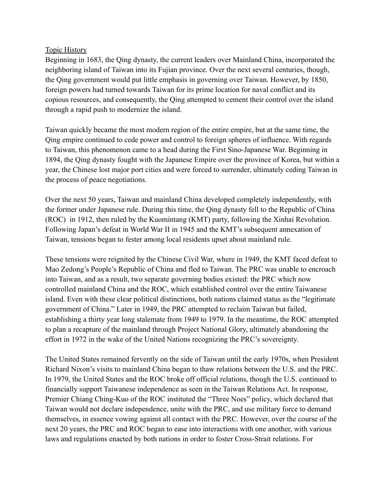## Topic History

Beginning in 1683, the Qing dynasty, the current leaders over Mainland China, incorporated the neighboring island of Taiwan into its Fujian province. Over the next several centuries, though, the Qing government would put little emphasis in governing over Taiwan. However, by 1850, foreign powers had turned towards Taiwan for its prime location for naval conflict and its copious resources, and consequently, the Qing attempted to cement their control over the island through a rapid push to modernize the island.

Taiwan quickly became the most modern region of the entire empire, but at the same time, the Qing empire continued to cede power and control to foreign spheres of influence. With regards to Taiwan, this phenomenon came to a head during the First Sino-Japanese War. Beginning in 1894, the Qing dynasty fought with the Japanese Empire over the province of Korea, but within a year, the Chinese lost major port cities and were forced to surrender, ultimately ceding Taiwan in the process of peace negotiations.

Over the next 50 years, Taiwan and mainland China developed completely independently, with the former under Japanese rule. During this time, the Qing dynasty fell to the Republic of China (ROC) in 1912, then ruled by the Kuomintang (KMT) party, following the Xinhai Revolution. Following Japan's defeat in World War II in 1945 and the KMT's subsequent annexation of Taiwan, tensions began to fester among local residents upset about mainland rule.

These tensions were reignited by the Chinese Civil War, where in 1949, the KMT faced defeat to Mao Zedong's People's Republic of China and fled to Taiwan. The PRC was unable to encroach into Taiwan, and as a result, two separate governing bodies existed: the PRC which now controlled mainland China and the ROC, which established control over the entire Taiwanese island. Even with these clear political distinctions, both nations claimed status as the "legitimate government of China." Later in 1949, the PRC attempted to reclaim Taiwan but failed, establishing a thirty year long stalemate from 1949 to 1979. In the meantime, the ROC attempted to plan a recapture of the mainland through Project National Glory, ultimately abandoning the effort in 1972 in the wake of the United Nations recognizing the PRC's sovereignty.

The United States remained fervently on the side of Taiwan until the early 1970s, when President Richard Nixon's visits to mainland China began to thaw relations between the U.S. and the PRC. In 1979, the United States and the ROC broke off official relations, though the U.S. continued to financially support Taiwanese independence as seen in the Taiwan Relations Act. In response, Premier Chiang Ching-Kuo of the ROC instituted the "Three Noes" policy, which declared that Taiwan would not declare independence, unite with the PRC, and use military force to demand themselves, in essence vowing against all contact with the PRC. However, over the course of the next 20 years, the PRC and ROC began to ease into interactions with one another, with various laws and regulations enacted by both nations in order to foster Cross-Strait relations. For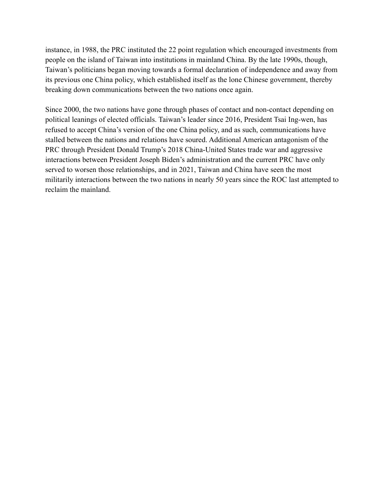instance, in 1988, the PRC instituted the 22 point regulation which encouraged investments from people on the island of Taiwan into institutions in mainland China. By the late 1990s, though, Taiwan's politicians began moving towards a formal declaration of independence and away from its previous one China policy, which established itself as the lone Chinese government, thereby breaking down communications between the two nations once again.

Since 2000, the two nations have gone through phases of contact and non-contact depending on political leanings of elected officials. Taiwan's leader since 2016, President Tsai Ing-wen, has refused to accept China's version of the one China policy, and as such, communications have stalled between the nations and relations have soured. Additional American antagonism of the PRC through President Donald Trump's 2018 China-United States trade war and aggressive interactions between President Joseph Biden's administration and the current PRC have only served to worsen those relationships, and in 2021, Taiwan and China have seen the most militarily interactions between the two nations in nearly 50 years since the ROC last attempted to reclaim the mainland.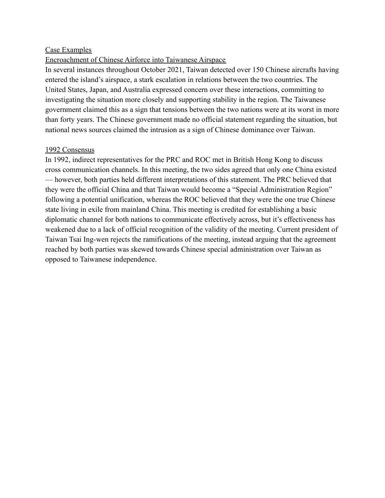## Case Examples

## Encroachment of Chinese Airforce into Taiwanese Airspace

In several instances throughout October 2021, Taiwan detected over 150 Chinese aircrafts having entered the island's airspace, a stark escalation in relations between the two countries. The United States, Japan, and Australia expressed concern over these interactions, committing to investigating the situation more closely and supporting stability in the region. The Taiwanese government claimed this as a sign that tensions between the two nations were at its worst in more than forty years. The Chinese government made no official statement regarding the situation, but national news sources claimed the intrusion as a sign of Chinese dominance over Taiwan.

#### 1992 Consensus

In 1992, indirect representatives for the PRC and ROC met in British Hong Kong to discuss cross communication channels. In this meeting, the two sides agreed that only one China existed — however, both parties held different interpretations of this statement. The PRC believed that they were the official China and that Taiwan would become a "Special Administration Region" following a potential unification, whereas the ROC believed that they were the one true Chinese state living in exile from mainland China. This meeting is credited for establishing a basic diplomatic channel for both nations to communicate effectively across, but it's effectiveness has weakened due to a lack of official recognition of the validity of the meeting. Current president of Taiwan Tsai Ing-wen rejects the ramifications of the meeting, instead arguing that the agreement reached by both parties was skewed towards Chinese special administration over Taiwan as opposed to Taiwanese independence.